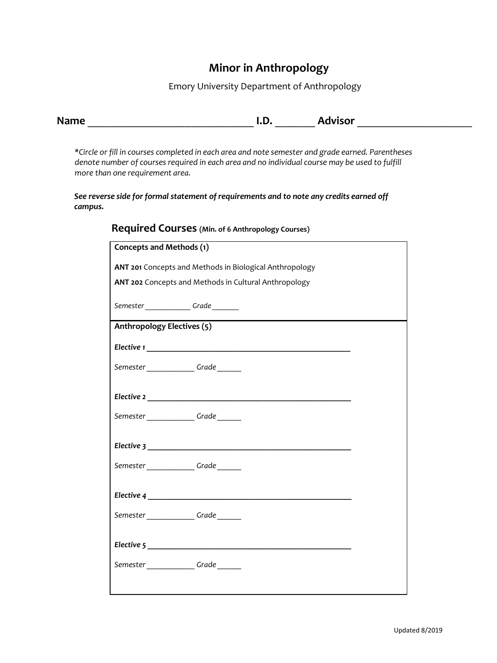# **Minor in Anthropology**

Emory University Department of Anthropology

| <b>Name</b> | I.D. | <b>Advisor</b> |  |
|-------------|------|----------------|--|
|             |      |                |  |

*\*Circle or fill in courses completed in each area and note semester and grade earned. Parentheses denote number of courses required in each area and no individual course may be used to fulfill more than one requirement area.*

*See reverse side for formal statement of requirements and to note any credits earned off campus.* 

| Concepts and Methods (1)                                |  |
|---------------------------------------------------------|--|
| ANT 201 Concepts and Methods in Biological Anthropology |  |
| ANT 202 Concepts and Methods in Cultural Anthropology   |  |
| Semester____________Grade_______                        |  |
| Anthropology Electives (5)                              |  |
|                                                         |  |
| Semester_____________Grade______                        |  |
|                                                         |  |
|                                                         |  |
| Semester_____________Grade______                        |  |
|                                                         |  |
| Semester_____________Grade______                        |  |
|                                                         |  |
|                                                         |  |
| Semester_____________Grade______                        |  |
| Elective 5                                              |  |
|                                                         |  |
| Semester Grade                                          |  |
|                                                         |  |

### **Required Courses (Min. of 6 Anthropology Courses)**